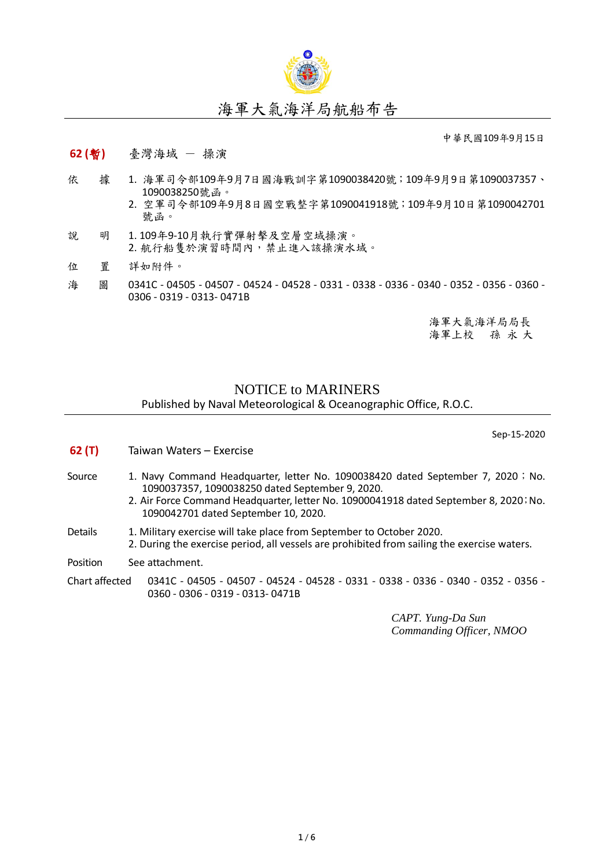

## 海軍大氣海洋局航船布告

中華民國109年9月15日

- **62 (**暫**)** 臺灣海域 操演
- 依 據 1. 海軍司令部109年9月7日國海戰訓字第1090038420號;109年9月9日第1090037357、 1090038250號函。
	- 2. 空軍司令部109年9月8日國空戰整字第1090041918號;109年9月10日第1090042701 號函。
- 說 明 1. 109年9-10月執行實彈射擊及空層空域操演。 2. 航行船隻於演習時間內,禁止進入該操演水域。
- 位 置 詳如附件。
- 海 圖 0341C 04505 04507 04524 04528 0331 0338 0336 0340 0352 0356 0360 -0306 - 0319 - 0313- 0471B

海軍大氣海洋局局長 海軍上校 孫 永 大

## NOTICE to MARINERS Published by Naval Meteorological & Oceanographic Office, R.O.C.

Sep-15-2020

**62 (T)** Taiwan Waters – Exercise Source 1. Navy Command Headquarter, letter No. 1090038420 dated September 7, 2020; No. 1090037357, 1090038250 dated September 9, 2020. 2. Air Force Command Headquarter, letter No. 10900041918 dated September 8, 2020; No. 1090042701 dated September 10, 2020. Details 1. Military exercise will take place from September to October 2020. 2. During the exercise period, all vessels are prohibited from sailing the exercise waters. Position See attachment. Chart affected 0341C - 04505 - 04507 - 04524 - 04528 - 0331 - 0338 - 0336 - 0340 - 0352 - 0356 - 0360 - 0306 - 0319 - 0313- 0471B

> *CAPT. Yung-Da Sun Commanding Officer, NMOO*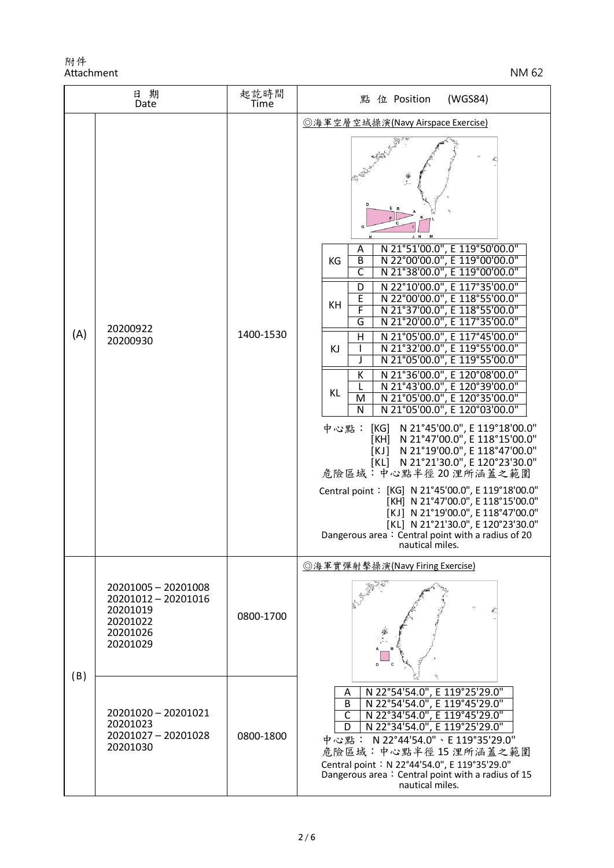| 日期<br>Date |                                                                                            | 起訖時間<br>Time | (WGS84)<br>點 位 Position                                                                                                                                                                                                                                                                                                                                                                                                                                                                                                                                                                                                                                                                                                                                                                                                                                                                                                                                                                                                                                                  |
|------------|--------------------------------------------------------------------------------------------|--------------|--------------------------------------------------------------------------------------------------------------------------------------------------------------------------------------------------------------------------------------------------------------------------------------------------------------------------------------------------------------------------------------------------------------------------------------------------------------------------------------------------------------------------------------------------------------------------------------------------------------------------------------------------------------------------------------------------------------------------------------------------------------------------------------------------------------------------------------------------------------------------------------------------------------------------------------------------------------------------------------------------------------------------------------------------------------------------|
| (A)        | 20200922<br>20200930                                                                       | 1400-1530    | ◎海軍空層空域操演(Navy Airspace Exercise)<br>J N<br>N 21°51'00.0", E 119°50'00.0"<br>A<br>N 22°00'00.0", E 119°00'00.0"<br>B<br>KG<br>C<br>N 21°38'00.0", E 119°00'00.0"<br>N 22°10'00.0", E 117°35'00.0"<br>D<br>E<br>N 22°00'00.0", E 118°55'00.0"<br>KH<br>F<br>N 21°37'00.0", E 118°55'00.0"<br>G<br>N 21°20'00.0", E 117°35'00.0"<br>N 21°05'00.0", E 117°45'00.0"<br>H<br>N 21°32'00.0", E 119°55'00.0"<br>I<br>KJ<br>N 21°05'00.0", E 119°55'00.0"<br>J<br>N 21°36'00.0", E 120°08'00.0"<br>К<br>N 21°43'00.0", E 120°39'00.0"<br><b>KL</b><br>N 21°05'00.0", E 120°35'00.0"<br>M<br>N 21°05'00.0", E 120°03'00.0"<br>N<br>N 21°45'00.0", E 119°18'00.0"<br>中心點:<br>[KG]<br>N 21°47'00.0", E 118°15'00.0"<br>[KH]<br>N 21°19'00.0", E 118°47'00.0"<br>[KJ]<br>N 21°21'30.0", E 120°23'30.0"<br>[KL]<br>危險區域:中心點半徑20浬所涵蓋之範圍<br>Central point: [KG] N 21°45'00.0", E 119°18'00.0"<br>[KH] N 21°47'00.0", E 118°15'00.0"<br>[KJ] N 21°19'00.0", E 118°47'00.0"<br>[KL] N 21°21'30.0", E 120°23'30.0"<br>Dangerous area: Central point with a radius of 20<br>nautical miles. |
| (B)        | 20201005 - 20201008<br>20201012 - 20201016<br>20201019<br>20201022<br>20201026<br>20201029 | 0800-1700    | ◎海軍實彈射擊操演(Navy Firing Exercise)                                                                                                                                                                                                                                                                                                                                                                                                                                                                                                                                                                                                                                                                                                                                                                                                                                                                                                                                                                                                                                          |
|            | 20201020 - 20201021<br>20201023<br>20201027 - 20201028<br>20201030                         | 0800-1800    | N 22°54'54.0", E 119°25'29.0"<br>N 22°54'54.0", E 119°45'29.0"<br>A<br>B<br>N 22°34'54.0", E 119°45'29.0"<br>$\overline{\mathsf{C}}$<br>N 22°34'54.0", E 119°25'29.0"<br>D<br>中心點: N 22°44'54.0"、E 119°35'29.0"<br>危險區域:中心點半徑15浬所涵蓋之範圍<br>Central point: N 22°44'54.0", E 119°35'29.0"<br>Dangerous area: Central point with a radius of 15<br>nautical miles.                                                                                                                                                                                                                                                                                                                                                                                                                                                                                                                                                                                                                                                                                                           |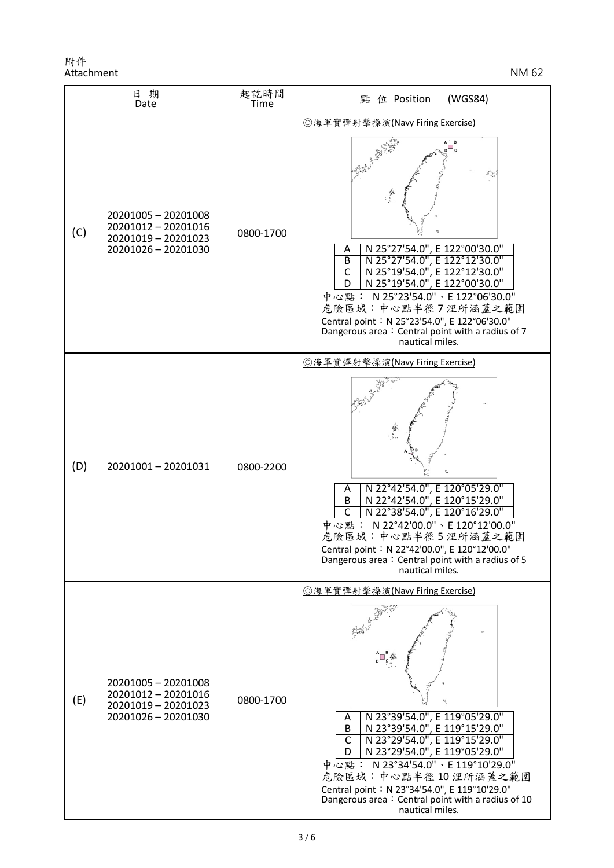| 日期<br>Date |                                                                                          | 起訖時間<br>Time | (WGS84)<br>點 位 Position                                                                                                                                                                                                                                                                                                                                                                         |
|------------|------------------------------------------------------------------------------------------|--------------|-------------------------------------------------------------------------------------------------------------------------------------------------------------------------------------------------------------------------------------------------------------------------------------------------------------------------------------------------------------------------------------------------|
| (C)        | 20201005 - 20201008<br>20201012 - 20201016<br>20201019 - 20201023<br>20201026 - 20201030 | 0800-1700    | ◎海軍實彈射擊操演(Navy Firing Exercise)<br>N 25°27'54.0", E 122°00'30.0"<br>Α<br>N 25°27'54.0", E 122°12'30.0"<br>B<br>$\overline{\mathsf{C}}$<br>N 25°19'54.0", E 122°12'30.0"<br>N 25°19'54.0", E 122°00'30.0"<br>D<br>中心點: N 25°23'54.0"、E 122°06'30.0"<br>危險區域:中心點半徑7浬所涵蓋之範圍<br>Central point: N 25°23'54.0", E 122°06'30.0"<br>Dangerous area: Central point with a radius of 7<br>nautical miles. |
| (D)        | 20201001-20201031                                                                        | 0800-2200    | ◎海軍實彈射擊操演(Navy Firing Exercise)<br>N 22°42'54.0", E 120°05'29.0"<br>A<br>N 22°42'54.0", E 120°15'29.0"<br>B<br>$\overline{\mathsf{C}}$<br>N 22°38'54.0", E 120°16'29.0"<br>中心點: N 22°42'00.0"、E 120°12'00.0"<br>危險區域:中心點半徑5浬所涵蓋之範圍<br>Central point: N 22°42'00.0", E 120°12'00.0"<br>Dangerous area: Central point with a radius of 5<br>nautical miles.                                       |
| (E)        | 20201005 - 20201008<br>20201012 - 20201016<br>20201019 - 20201023<br>20201026 - 20201030 | 0800-1700    | ◎海軍實彈射擊操演(Navy Firing Exercise)<br>N 23°39'54.0", E 119°05'29.0"<br>Α<br>N 23°39'54.0", E 119°15'29.0"<br>B<br>N 23°29'54.0", E 119°15'29.0"<br>N 23°29'54.0", E 119°05'29.0"<br>$\mathsf{C}$<br>D<br>中心點: N 23°34'54.0"、E 119°10'29.0"<br>危險區域:中心點半徑10浬所涵蓋之範圍<br>Central point: N 23°34'54.0", E 119°10'29.0"<br>Dangerous area: Central point with a radius of 10<br>nautical miles.          |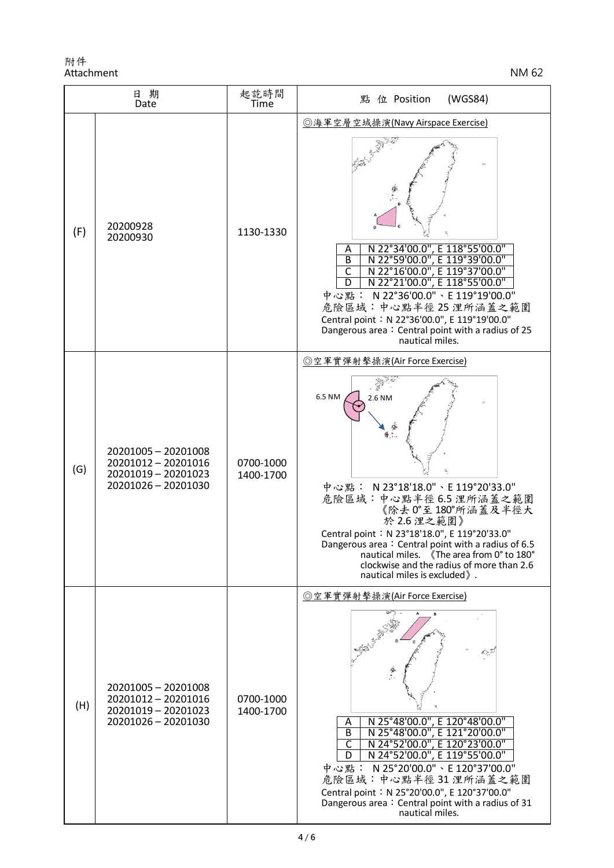| 日期<br>Date |                                                                                          | 起訖時間<br>Time           | 點 位 Position<br>(WGS84)                                                                                                                                                                                                                                                                                                                                                                                          |
|------------|------------------------------------------------------------------------------------------|------------------------|------------------------------------------------------------------------------------------------------------------------------------------------------------------------------------------------------------------------------------------------------------------------------------------------------------------------------------------------------------------------------------------------------------------|
| (F)        | 20200928<br>20200930                                                                     | 1130-1330              | ◎海軍空層空域操演(Navy Airspace Exercise)<br>N 22°34'00.0", E 118°55'00.0"<br>A<br>N 22°59'00.0", E 119°39'00.0"<br>$\overline{B}$<br>N 22°16'00.0", E 119°37'00.0"<br>$\overline{\mathsf{C}}$<br>N 22°21'00.0", E 118°55'00.0"<br>D<br>中心點: N 22°36'00.0"、E 119°19'00.0"<br>危險區域:中心點半徑25浬所涵蓋之範圍<br>Central point: N 22°36'00.0", E 119°19'00.0"<br>Dangerous area: Central point with a radius of 25<br>nautical miles. |
| (G)        | 20201005 - 20201008<br>20201012 - 20201016<br>20201019 - 20201023<br>20201026 - 20201030 | 0700-1000<br>1400-1700 | ◎空軍實彈射擊操演(Air Force Exercise)<br>6.5 NM<br>2.6 NM<br>中心點: N 23°18'18.0"、E 119°20'33.0"<br>危險區域:中心點半徑 6.5 浬所涵蓋之範圍<br>《除去 0°至180°所涵蓋及半徑大<br>於 2.6 浬之範圍》<br>Central point: N 23°18'18.0", E 119°20'33.0"<br>Dangerous area: Central point with a radius of 6.5<br>nautical miles. 《The area from 0° to 180°<br>clockwise and the radius of more than 2.6<br>nautical miles is excluded ».                           |
| (H)        | 20201005 - 20201008<br>20201012 - 20201016<br>20201019 - 20201023<br>20201026 - 20201030 | 0700-1000<br>1400-1700 | ◎空軍實彈射擊操演(Air Force Exercise)<br>N 25°48'00.0", E 120°48'00.0"<br>Α<br>N 25°48'00.0", E 121°20'00.0"<br>В<br>N 24°52'00.0", E 120°23'00.0"<br>C<br>N 24°52'00.0", E 119°55'00.0"<br>D<br>中心點: N 25°20'00.0"、E 120°37'00.0"<br>危險區域:中心點半徑31浬所涵蓋之範圍<br>Central point: N 25°20'00.0", E 120°37'00.0"<br>Dangerous area: Central point with a radius of 31<br>nautical miles.                                        |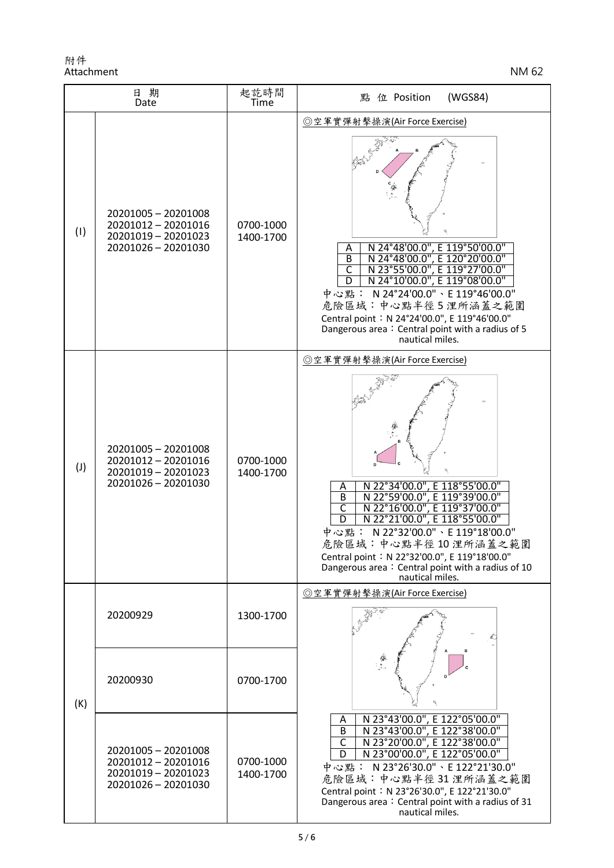| 日期<br>Date     |                                                                                          | 起訖時間<br>Time           | (WGS84)<br>點 位 Position                                                                                                                                                                                                                                                                                                                                                                                                                 |
|----------------|------------------------------------------------------------------------------------------|------------------------|-----------------------------------------------------------------------------------------------------------------------------------------------------------------------------------------------------------------------------------------------------------------------------------------------------------------------------------------------------------------------------------------------------------------------------------------|
| (1)            | 20201005 - 20201008<br>20201012 - 20201016<br>20201019 - 20201023<br>20201026 - 20201030 | 0700-1000<br>1400-1700 | ◎空軍實彈射擊操演(Air Force Exercise)<br>N 24°48'00.0", E 119°50'00.0"<br>Α<br>N 24°48'00.0", E 120°20'00.0"<br>$\overline{B}$<br>N 23°55'00.0", E 119°27'00.0"<br>N 24°10'00.0", E 119°08'00.0"<br>$\overline{\mathsf{C}}$<br>中心點: N 24°24'00.0"、E 119°46'00.0"<br>危險區域:中心點半徑5浬所涵蓋之範圍<br>Central point: N 24°24'00.0", E 119°46'00.0"<br>Dangerous area: Central point with a radius of 5<br>nautical miles.                                   |
| $(\mathsf{J})$ | 20201005 - 20201008<br>20201012 - 20201016<br>20201019 - 20201023<br>20201026 - 20201030 | 0700-1000<br>1400-1700 | ◎空軍實彈射擊操演(Air Force Exercise)<br>N 22°34'00.0", E 118°55'00.0"<br>N 22°59'00.0", E 119°39'00.0"<br>A<br>$\overline{B}$<br>N 22°16'00.0", E 119°37'00.0"<br>$\overline{\mathsf{C}}$<br>$\overline{\mathsf{D}}$<br>N 22°21'00.0", E 118°55'00.0"<br>N 22°32'00.0" \ E 119°18'00.0"<br>中心點:<br>危險區域:中心點半徑10浬所涵蓋之範圍<br>Central point: N 22°32'00.0", E 119°18'00.0"<br>Dangerous area: Central point with a radius of 10<br>nautical miles. |
| (K)            | 20200929                                                                                 | 1300-1700              | ◎空軍實彈射擊操演(Air Force Exercise)                                                                                                                                                                                                                                                                                                                                                                                                           |
|                | 20200930                                                                                 | 0700-1700              |                                                                                                                                                                                                                                                                                                                                                                                                                                         |
|                | 20201005 - 20201008<br>20201012 - 20201016<br>20201019 - 20201023<br>20201026 - 20201030 | 0700-1000<br>1400-1700 | N 23°43'00.0", E 122°05'00.0"<br>A<br>N 23°43'00.0", E 122°38'00.0"<br>$\overline{B}$<br>N 23°20'00.0", E 122°38'00.0"<br>$\overline{\mathsf{C}}$<br>N 23°00'00.0", E 122°05'00.0"<br>D<br>中心點: N23°26'30.0"、E122°21'30.0"<br>危險區域:中心點半徑31浬所涵蓋之範圍<br>Central point: N 23°26'30.0", E 122°21'30.0"<br>Dangerous area: Central point with a radius of 31<br>nautical miles.                                                               |